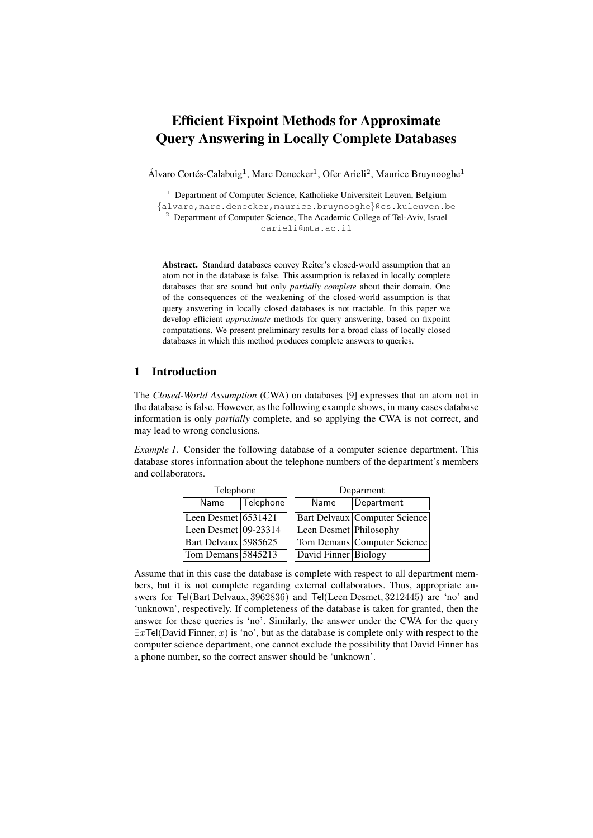# Efficient Fixpoint Methods for Approximate Query Answering in Locally Complete Databases

Álvaro Cortés-Calabuig<sup>1</sup>, Marc Denecker<sup>1</sup>, Ofer Arieli<sup>2</sup>, Maurice Bruynooghe<sup>1</sup>

<sup>1</sup> Department of Computer Science, Katholieke Universiteit Leuven, Belgium

{alvaro,marc.denecker,maurice.bruynooghe}@cs.kuleuven.be

<sup>2</sup> Department of Computer Science, The Academic College of Tel-Aviv, Israel oarieli@mta.ac.il

Abstract. Standard databases convey Reiter's closed-world assumption that an atom not in the database is false. This assumption is relaxed in locally complete databases that are sound but only *partially complete* about their domain. One of the consequences of the weakening of the closed-world assumption is that query answering in locally closed databases is not tractable. In this paper we develop efficient *approximate* methods for query answering, based on fixpoint computations. We present preliminary results for a broad class of locally closed databases in which this method produces complete answers to queries.

# 1 Introduction

The *Closed-World Assumption* (CWA) on databases [9] expresses that an atom not in the database is false. However, as the following example shows, in many cases database information is only *partially* complete, and so applying the CWA is not correct, and may lead to wrong conclusions.

*Example 1.* Consider the following database of a computer science department. This database stores information about the telephone numbers of the department's members and collaborators.

| Telephone                        |           | Deparment              |                               |  |
|----------------------------------|-----------|------------------------|-------------------------------|--|
| Name                             | Telephone | Name                   | Department                    |  |
| Leen Desmet $6531\overline{421}$ |           |                        | Bart Delvaux Computer Science |  |
| Leen Desmet $ 09-23314 $         |           | Leen Desmet Philosophy |                               |  |
| Bart Delvaux 5985625             |           |                        | Tom Demans Computer Science   |  |
| Tom Demans 5845213               |           | David Finner Biology   |                               |  |

Assume that in this case the database is complete with respect to all department members, but it is not complete regarding external collaborators. Thus, appropriate answers for Tel(Bart Delvaux, 3962836) and Tel(Leen Desmet, 3212445) are 'no' and 'unknown', respectively. If completeness of the database is taken for granted, then the answer for these queries is 'no'. Similarly, the answer under the CWA for the query  $\exists x \text{Tel}(David Finner, x)$  is 'no', but as the database is complete only with respect to the computer science department, one cannot exclude the possibility that David Finner has a phone number, so the correct answer should be 'unknown'.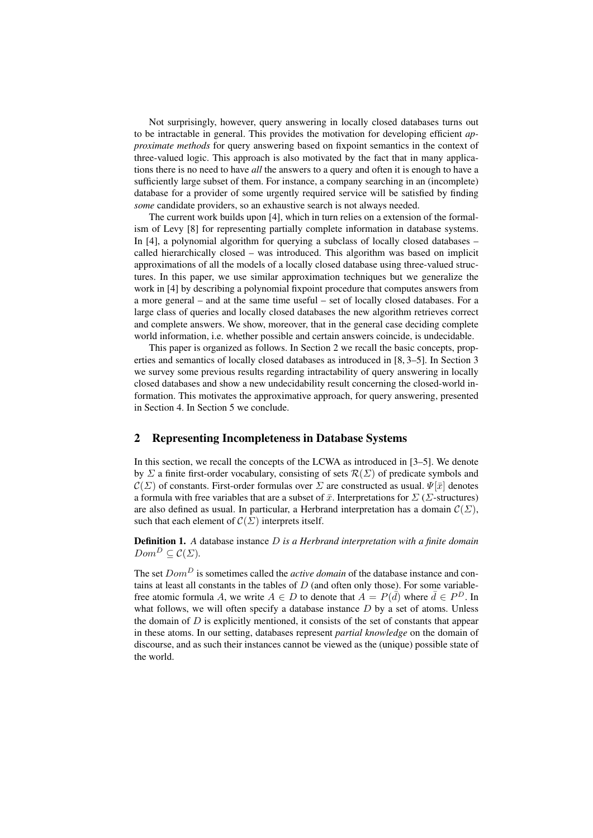Not surprisingly, however, query answering in locally closed databases turns out to be intractable in general. This provides the motivation for developing efficient *approximate methods* for query answering based on fixpoint semantics in the context of three-valued logic. This approach is also motivated by the fact that in many applications there is no need to have *all* the answers to a query and often it is enough to have a sufficiently large subset of them. For instance, a company searching in an (incomplete) database for a provider of some urgently required service will be satisfied by finding *some* candidate providers, so an exhaustive search is not always needed.

The current work builds upon [4], which in turn relies on a extension of the formalism of Levy [8] for representing partially complete information in database systems. In [4], a polynomial algorithm for querying a subclass of locally closed databases – called hierarchically closed – was introduced. This algorithm was based on implicit approximations of all the models of a locally closed database using three-valued structures. In this paper, we use similar approximation techniques but we generalize the work in [4] by describing a polynomial fixpoint procedure that computes answers from a more general – and at the same time useful – set of locally closed databases. For a large class of queries and locally closed databases the new algorithm retrieves correct and complete answers. We show, moreover, that in the general case deciding complete world information, i.e. whether possible and certain answers coincide, is undecidable.

This paper is organized as follows. In Section 2 we recall the basic concepts, properties and semantics of locally closed databases as introduced in [8, 3–5]. In Section 3 we survey some previous results regarding intractability of query answering in locally closed databases and show a new undecidability result concerning the closed-world information. This motivates the approximative approach, for query answering, presented in Section 4. In Section 5 we conclude.

# 2 Representing Incompleteness in Database Systems

In this section, we recall the concepts of the LCWA as introduced in [3–5]. We denote by  $\Sigma$  a finite first-order vocabulary, consisting of sets  $\mathcal{R}(\Sigma)$  of predicate symbols and  $\mathcal{C}(\Sigma)$  of constants. First-order formulas over  $\Sigma$  are constructed as usual.  $\Psi[\bar{x}]$  denotes a formula with free variables that are a subset of  $\bar{x}$ . Interpretations for  $\sum (\Sigma\text{-structures})$ are also defined as usual. In particular, a Herbrand interpretation has a domain  $\mathcal{C}(\Sigma)$ , such that each element of  $\mathcal{C}(\Sigma)$  interprets itself.

Definition 1. *A* database instance D *is a Herbrand interpretation with a finite domain*  $Dom^D \subset \mathcal{C}(\Sigma)$ .

The set  $Dom<sup>D</sup>$  is sometimes called the *active domain* of the database instance and contains at least all constants in the tables of  $D$  (and often only those). For some variablefree atomic formula A, we write  $A \in D$  to denote that  $A = P(\overline{d})$  where  $\overline{d} \in P^D$ . In what follows, we will often specify a database instance  $D$  by a set of atoms. Unless the domain of  $D$  is explicitly mentioned, it consists of the set of constants that appear in these atoms. In our setting, databases represent *partial knowledge* on the domain of discourse, and as such their instances cannot be viewed as the (unique) possible state of the world.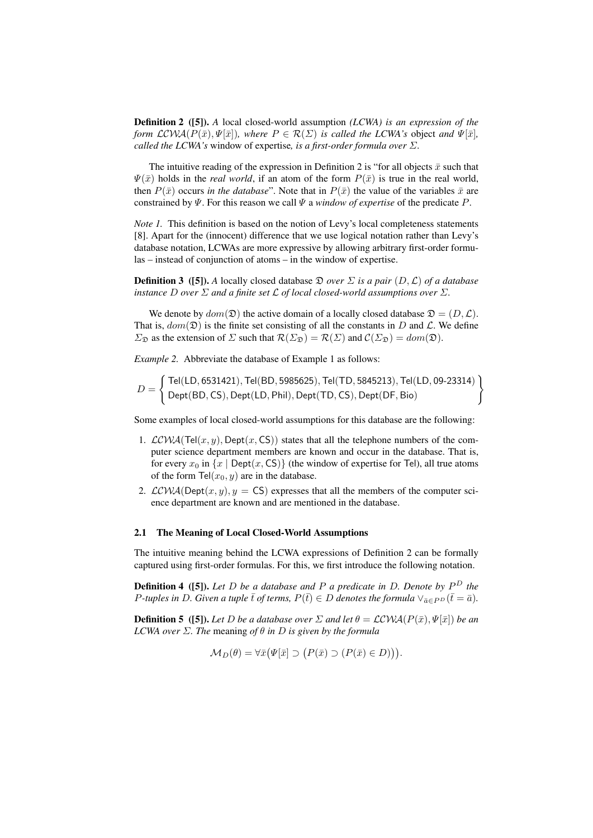Definition 2 ([5]). *A* local closed-world assumption *(LCWA) is an expression of the form*  $\mathcal{LCWA}(P(\bar{x}), \Psi[\bar{x}])$ *, where*  $P \in \mathcal{R}(\Sigma)$  *is called the LCWA's* object *and*  $\Psi[\bar{x}]$ *, called the LCWA's* window of expertise*, is a first-order formula over* Σ*.*

The intuitive reading of the expression in Definition 2 is "for all objects  $\bar{x}$  such that  $\Psi(\bar{x})$  holds in the *real world*, if an atom of the form  $P(\bar{x})$  is true in the real world, then  $P(\bar{x})$  occurs *in the database*". Note that in  $P(\bar{x})$  the value of the variables  $\bar{x}$  are constrained by  $\Psi$ . For this reason we call  $\Psi$  a *window of expertise* of the predicate P.

*Note 1.* This definition is based on the notion of Levy's local completeness statements [8]. Apart for the (innocent) difference that we use logical notation rather than Levy's database notation, LCWAs are more expressive by allowing arbitrary first-order formulas – instead of conjunction of atoms – in the window of expertise.

**Definition 3** ([5]). A locally closed database  $\mathfrak{D}$  *over*  $\Sigma$  *is a pair*  $(D, \mathcal{L})$  *of a database instance* D *over*  $\Sigma$  *and a finite set*  $\mathcal L$  *of local closed-world assumptions over*  $\Sigma$ *.* 

We denote by  $dom(\mathfrak{D})$  the active domain of a locally closed database  $\mathfrak{D} = (D, \mathcal{L})$ . That is,  $dom(\mathfrak{D})$  is the finite set consisting of all the constants in D and L. We define  $\Sigma_{\mathfrak{D}}$  as the extension of  $\Sigma$  such that  $\mathcal{R}(\Sigma_{\mathfrak{D}}) = \mathcal{R}(\Sigma)$  and  $\mathcal{C}(\Sigma_{\mathfrak{D}}) = dom(\mathfrak{D})$ .

*Example 2.* Abbreviate the database of Example 1 as follows:

$$
D = \left\{ \begin{array}{l} \mathsf{Tel(LD, 6531421), Tel(BD, 5985625), Tel(TD, 5845213), Tel(LD, 09\text{-}23314) \\ \mathsf{Depth(BD, CS), Dept(LD, Phil), Dept(TD, CS), Dept(DF, Bio)} \end{array} \right\}
$$

Some examples of local closed-world assumptions for this database are the following:

- 1.  $LCWA(Tel(x, y), Dept(x, CS))$  states that all the telephone numbers of the computer science department members are known and occur in the database. That is, for every  $x_0$  in  $\{x \mid \text{Depth}(x, \text{CS})\}$  (the window of expertise for Tel), all true atoms of the form  $\text{Tel}(x_0, y)$  are in the database.
- 2.  $LCWA(Dept(x, y), y = CS)$  expresses that all the members of the computer science department are known and are mentioned in the database.

#### 2.1 The Meaning of Local Closed-World Assumptions

The intuitive meaning behind the LCWA expressions of Definition 2 can be formally captured using first-order formulas. For this, we first introduce the following notation.

Definition 4 ([5]). *Let* D *be a database and* P *a predicate in* D*. Denote by* P <sup>D</sup> *the P*-tuples in D. Given a tuple  $\bar{t}$  of terms,  $P(\bar{t}) \in D$  denotes the formula  $\vee_{\bar{a} \in P^D} (\bar{t} = \bar{a})$ .

**Definition 5** ([5]). Let D be a database over  $\Sigma$  and let  $\theta = \mathcal{LCWA}(P(\bar{x}), \Psi[\bar{x}])$  be an *LCWA over* Σ*. The* meaning *of* θ *in* D *is given by the formula*

$$
\mathcal{M}_D(\theta) = \forall \bar{x} \big( \Psi[\bar{x}] \supset (P(\bar{x}) \supset (P(\bar{x}) \in D)) \big).
$$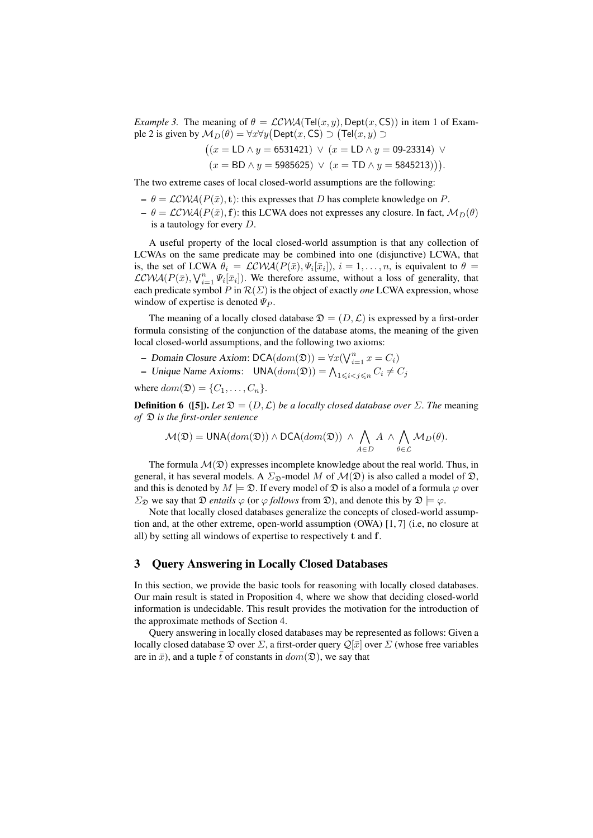*Example 3.* The meaning of  $\theta = \mathcal{LCWA}(Tel(x, y), \text{Depth}(x, \text{CS}))$  in item 1 of Example 2 is given by  $\mathcal{M}_D(\theta) = \forall x \forall y (\mathsf{Depth}(x,\mathsf{CS}) \supset \mathsf{(Tel}(x,y) \supset$ 

$$
((x = \text{LD} \land y = 6531421) \lor (x = \text{LD} \land y = 09-23314) \lor
$$

$$
(x = BD \land y = 5985625) \lor (x = TD \land y = 5845213)).
$$

The two extreme cases of local closed-world assumptions are the following:

- $-\theta = \mathcal{LCWA}(P(\bar{x}), \mathbf{t})$ : this expresses that D has complete knowledge on P.
- $-\theta = \mathcal{LCWA}(P(\bar{x}), \mathbf{f})$ : this LCWA does not expresses any closure. In fact,  $\mathcal{M}_D(\theta)$ is a tautology for every D.

A useful property of the local closed-world assumption is that any collection of LCWAs on the same predicate may be combined into one (disjunctive) LCWA, that is, the set of LCWA  $\theta_i = \mathcal{LCWA}(P(\bar{x}), \Psi_i[\bar{x}_i]), i = 1, \dots, n$ , is equivalent to  $\theta =$  $LCWA(P(\bar{x}), V_{i=1}^n \Psi_i[\bar{x}_i])$ . We therefore assume, without a loss of generality, that each predicate symbol P in  $\mathcal{R}(\Sigma)$  is the object of exactly *one* LCWA expression, whose window of expertise is denoted  $\Psi_P$ .

The meaning of a locally closed database  $\mathfrak{D} = (D, \mathcal{L})$  is expressed by a first-order formula consisting of the conjunction of the database atoms, the meaning of the given local closed-world assumptions, and the following two axioms:

- Domain Closure Axiom:  $\mathsf{DCA}(dom(\mathfrak{D})) = \forall x (\bigvee_{i=1}^{n} x = C_i)$
- Unique Name Axioms:  $UNA(dom(\mathfrak{D})) = \bigwedge_{1 \leq i < j \leq n} C_i \neq C_j$

where  $dom(\mathfrak{D}) = \{C_1, \ldots, C_n\}.$ 

**Definition 6** ([5]). Let  $\mathfrak{D} = (D, \mathcal{L})$  *be a locally closed database over*  $\Sigma$ . The meaning *of* D *is the first-order sentence*

$$
\mathcal{M}(\mathfrak{D}) = \text{UNA}(dom(\mathfrak{D})) \wedge \text{DCA}(dom(\mathfrak{D})) \wedge \bigwedge_{A \in D} A \wedge \bigwedge_{\theta \in \mathcal{L}} \mathcal{M}_D(\theta).
$$

The formula  $\mathcal{M}(\mathfrak{D})$  expresses incomplete knowledge about the real world. Thus, in general, it has several models. A  $\Sigma_{\mathfrak{D}}$ -model M of  $\mathcal{M}(\mathfrak{D})$  is also called a model of  $\mathfrak{D}$ , and this is denoted by  $M \models \mathcal{D}$ . If every model of  $\mathcal D$  is also a model of a formula  $\varphi$  over  $\Sigma_{\mathfrak{D}}$  we say that  $\mathfrak{D}$  *entails*  $\varphi$  (or  $\varphi$  *follows* from  $\mathfrak{D}$ ), and denote this by  $\mathfrak{D} \models \varphi$ .

Note that locally closed databases generalize the concepts of closed-world assumption and, at the other extreme, open-world assumption (OWA) [1, 7] (i.e, no closure at all) by setting all windows of expertise to respectively t and f.

# 3 Query Answering in Locally Closed Databases

In this section, we provide the basic tools for reasoning with locally closed databases. Our main result is stated in Proposition 4, where we show that deciding closed-world information is undecidable. This result provides the motivation for the introduction of the approximate methods of Section 4.

Query answering in locally closed databases may be represented as follows: Given a locally closed database  $\mathfrak D$  over  $\Sigma$ , a first-order query  $\mathcal Q[\bar x]$  over  $\Sigma$  (whose free variables are in  $\bar{x}$ ), and a tuple  $\bar{t}$  of constants in  $dom(\mathfrak{D})$ , we say that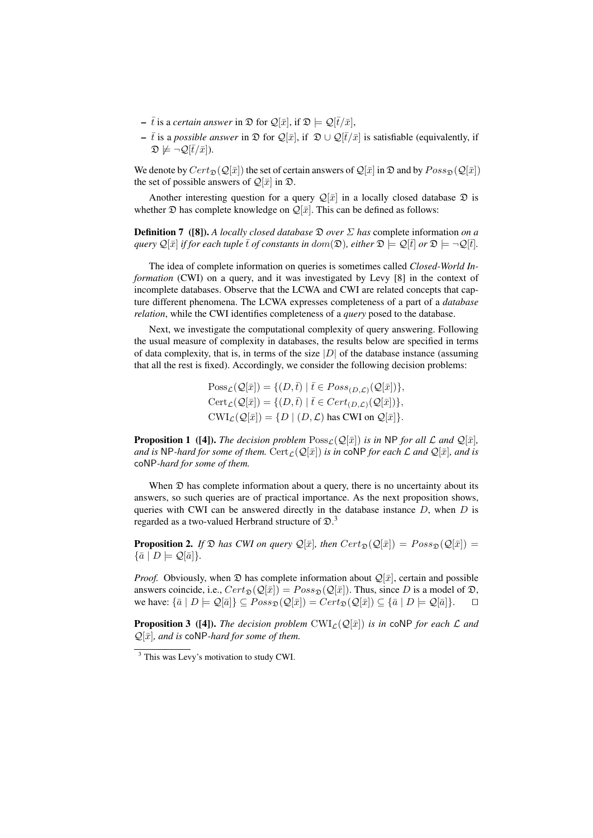- $\bar{t}$  is a *certain answer* in  $\mathfrak{D}$  for  $\mathcal{Q}[\bar{x}]$ , if  $\mathfrak{D} \models \mathcal{Q}[\bar{t}/\bar{x}]$ ,
- $\bar{t}$  is a *possible answer* in  $\mathfrak{D}$  for  $\mathcal{Q}[\bar{x}]$ , if  $\mathfrak{D} \cup \mathcal{Q}[\bar{t}/\bar{x}]$  is satisfiable (equivalently, if  $\mathfrak{D} \not\models \neg \mathcal{Q}[\bar{t}/\bar{x}]).$

We denote by  $Cert_{\mathfrak{D}}(Q[\bar{x}])$  the set of certain answers of  $Q[\bar{x}]$  in  $\mathfrak{D}$  and by  $Poss_{\mathfrak{D}}(Q[\bar{x}])$ the set of possible answers of  $\mathcal{Q}[\bar{x}]$  in  $\mathfrak{D}$ .

Another interesting question for a query  $\mathcal{Q}[\bar{x}]$  in a locally closed database  $\mathcal D$  is whether  $\mathfrak D$  has complete knowledge on  $\mathcal Q[\bar x]$ . This can be defined as follows:

Definition 7 ([8]). *A locally closed database* D *over* Σ *has* complete information *on a query*  $\mathcal{Q}[\bar{x}]$  *if for each tuple*  $\bar{t}$  *of constants in dom*( $\mathcal{D}$ *), either*  $\mathcal{D} \models \mathcal{Q}[\bar{t}]$  *or*  $\mathcal{D} \models \neg \mathcal{Q}[\bar{t}]$ *.* 

The idea of complete information on queries is sometimes called *Closed-World Information* (CWI) on a query, and it was investigated by Levy [8] in the context of incomplete databases. Observe that the LCWA and CWI are related concepts that capture different phenomena. The LCWA expresses completeness of a part of a *database relation*, while the CWI identifies completeness of a *query* posed to the database.

Next, we investigate the computational complexity of query answering. Following the usual measure of complexity in databases, the results below are specified in terms of data complexity, that is, in terms of the size  $|D|$  of the database instance (assuming that all the rest is fixed). Accordingly, we consider the following decision problems:

> $Poss_{\mathcal{L}}(\mathcal{Q}[\bar{x}]) = \{ (D,\bar{t}) \mid \bar{t} \in Poss_{(D,\mathcal{L})}(\mathcal{Q}[\bar{x}]) \},\$  $\text{Cert}_{\mathcal{L}}(\mathcal{Q}[\bar{x}]) = \{ (D, \bar{t}) \mid \bar{t} \in \text{Cert}_{(D,\mathcal{L})}(\mathcal{Q}[\bar{x}]) \},$  $\text{CWI}_{\mathcal{L}}(\mathcal{Q}[\bar{x}]) = \{ D \mid (D, \mathcal{L}) \text{ has CWI on } \mathcal{Q}[\bar{x}] \}.$

**Proposition 1** ([4]). *The decision problem*  $Poss_{\mathcal{L}}(\mathcal{Q}[\bar{x}])$  *is in* NP *for all*  $\mathcal{L}$  *and*  $\mathcal{Q}[\bar{x}]$ *, and is* NP-hard for some of them. Cert  $_{\mathcal{L}}(\mathcal{Q}[\bar{x}])$  *is in* coNP for each L and  $\mathcal{Q}[\bar{x}]$ *, and is* coNP*-hard for some of them.*

When  $\mathfrak D$  has complete information about a query, there is no uncertainty about its answers, so such queries are of practical importance. As the next proposition shows, queries with CWI can be answered directly in the database instance  $D$ , when  $D$  is regarded as a two-valued Herbrand structure of  $\mathfrak{D}.3$ 

**Proposition 2.** *If*  $\mathfrak{D}$  *has CWI on query*  $\mathcal{Q}[\bar{x}]$ *, then*  $Cert_{\mathfrak{D}}(\mathcal{Q}[\bar{x}]) = Poss_{\mathfrak{D}}(\mathcal{Q}[\bar{x}])$  =  $\{\bar{a} \mid D \models \mathcal{Q}[\bar{a}]\}.$ 

*Proof.* Obviously, when  $\mathfrak D$  has complete information about  $\mathcal Q[\bar x]$ , certain and possible answers coincide, i.e.,  $Cert_{\mathfrak{D}}(Q[\bar{x}]) = Poss_{\mathfrak{D}}(Q[\bar{x}])$ . Thus, since D is a model of  $\mathfrak{D}$ , we have:  $\{\bar{a} \mid D \models \mathcal{Q}[\bar{a}]\} \subseteq Poss_{\mathfrak{D}}(\mathcal{Q}[\bar{x}]) = Cert_{\mathfrak{D}}(\mathcal{Q}[\bar{x}]) \subseteq \{\bar{a} \mid D \models \mathcal{Q}[\bar{a}]\}.$ 

**Proposition 3** ([4]). *The decision problem*  $CWI_{\mathcal{L}}(\mathcal{Q}[\bar{x}])$  *is in* coNP *for each*  $\mathcal{L}$  *and*  $\mathcal{Q}[\bar{x}]$ *, and is* coNP-hard for some of them.

 $\frac{3}{3}$  This was Levy's motivation to study CWI.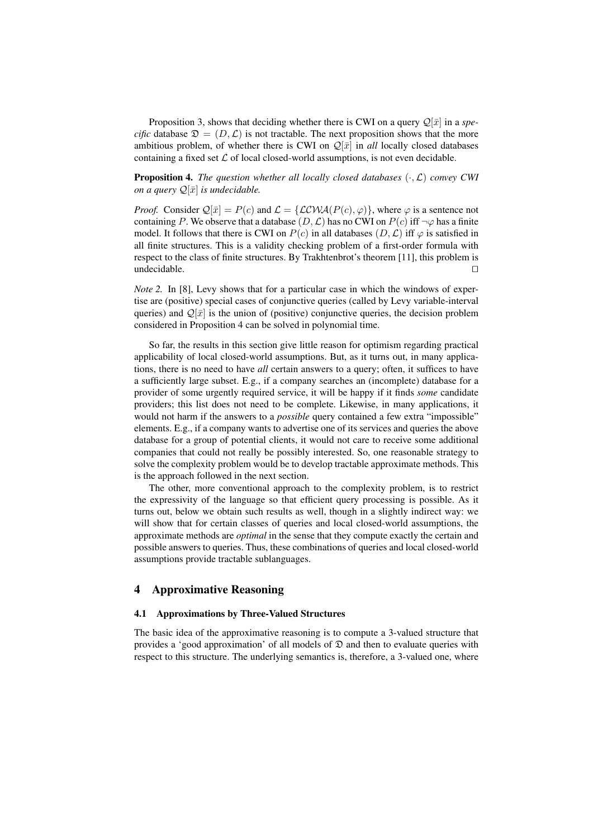Proposition 3, shows that deciding whether there is CWI on a query  $\mathcal{Q}[\bar{x}]$  in a *specific* database  $\mathfrak{D} = (D, \mathcal{L})$  is not tractable. The next proposition shows that the more ambitious problem, of whether there is CWI on  $\mathcal{Q}[\bar{x}]$  in *all* locally closed databases containing a fixed set  $\mathcal L$  of local closed-world assumptions, is not even decidable.

Proposition 4. *The question whether all locally closed databases* (·,L) *convey CWI on a query*  $\mathcal{Q}[\bar{x}]$  *is undecidable.* 

*Proof.* Consider  $\mathcal{Q}[\bar{x}] = P(c)$  and  $\mathcal{L} = \{ \mathcal{LCWA}(P(c), \varphi) \}$ , where  $\varphi$  is a sentence not containing P. We observe that a database  $(D, \mathcal{L})$  has no CWI on  $P(c)$  iff  $\neg \varphi$  has a finite model. It follows that there is CWI on  $P(c)$  in all databases  $(D, \mathcal{L})$  iff  $\varphi$  is satisfied in all finite structures. This is a validity checking problem of a first-order formula with respect to the class of finite structures. By Trakhtenbrot's theorem [11], this problem is  $\Box$ undecidable.  $\Box$ 

*Note 2.* In [8], Levy shows that for a particular case in which the windows of expertise are (positive) special cases of conjunctive queries (called by Levy variable-interval queries) and  $\mathcal{Q}[\bar{x}]$  is the union of (positive) conjunctive queries, the decision problem considered in Proposition 4 can be solved in polynomial time.

So far, the results in this section give little reason for optimism regarding practical applicability of local closed-world assumptions. But, as it turns out, in many applications, there is no need to have *all* certain answers to a query; often, it suffices to have a sufficiently large subset. E.g., if a company searches an (incomplete) database for a provider of some urgently required service, it will be happy if it finds *some* candidate providers; this list does not need to be complete. Likewise, in many applications, it would not harm if the answers to a *possible* query contained a few extra "impossible" elements. E.g., if a company wants to advertise one of its services and queries the above database for a group of potential clients, it would not care to receive some additional companies that could not really be possibly interested. So, one reasonable strategy to solve the complexity problem would be to develop tractable approximate methods. This is the approach followed in the next section.

The other, more conventional approach to the complexity problem, is to restrict the expressivity of the language so that efficient query processing is possible. As it turns out, below we obtain such results as well, though in a slightly indirect way: we will show that for certain classes of queries and local closed-world assumptions, the approximate methods are *optimal* in the sense that they compute exactly the certain and possible answers to queries. Thus, these combinations of queries and local closed-world assumptions provide tractable sublanguages.

# 4 Approximative Reasoning

#### 4.1 Approximations by Three-Valued Structures

The basic idea of the approximative reasoning is to compute a 3-valued structure that provides a 'good approximation' of all models of  $\mathfrak D$  and then to evaluate queries with respect to this structure. The underlying semantics is, therefore, a 3-valued one, where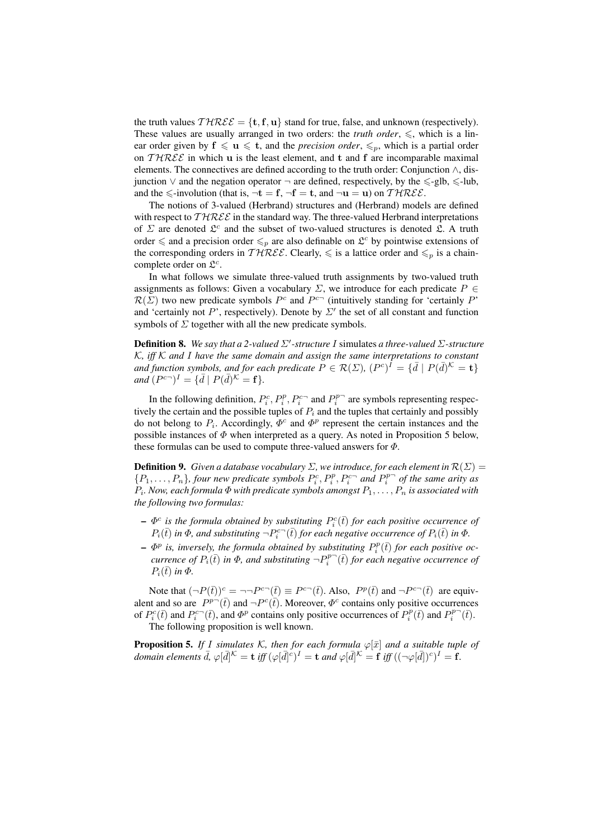the truth values  $THREE = \{t, f, u\}$  stand for true, false, and unknown (respectively). These values are usually arranged in two orders: the *truth order*,  $\leq$ , which is a linear order given by  $f \leq u \leq t$ , and the *precision order*,  $\leq_p$ , which is a partial order on  $THREE$  in which u is the least element, and t and f are incomparable maximal elements. The connectives are defined according to the truth order: Conjunction  $\wedge$ , disjunction  $\lor$  and the negation operator  $\neg$  are defined, respectively, by the  $\leq$ -glb,  $\leq$ -lub, and the  $\leq$ -involution (that is,  $\neg$ **t** = **f**,  $\neg$ **f** = **t**, and  $\neg$ **u** = **u**) on  $\mathcal{THREE}$ .

The notions of 3-valued (Herbrand) structures and (Herbrand) models are defined with respect to  $THREE$  in the standard way. The three-valued Herbrand interpretations of  $\Sigma$  are denoted  $\mathfrak{L}^c$  and the subset of two-valued structures is denoted  $\mathfrak{L}$ . A truth order  $\leq$  and a precision order  $\leq_p$  are also definable on  $\mathcal{L}^c$  by pointwise extensions of the corresponding orders in  $THREE$ . Clearly,  $\leq$  is a lattice order and  $\leq_p$  is a chaincomplete order on  $\mathfrak{L}^c$ .

In what follows we simulate three-valued truth assignments by two-valued truth assignments as follows: Given a vocabulary  $\Sigma$ , we introduce for each predicate  $P \in$  $\mathcal{R}(\Sigma)$  two new predicate symbols  $P^c$  and  $P^{c-}$  (intuitively standing for 'certainly P' and 'certainly not P', respectively). Denote by  $\Sigma'$  the set of all constant and function symbols of  $\Sigma$  together with all the new predicate symbols.

**Definition 8.** We say that a 2-valued  $\Sigma'$ -structure I simulates a three-valued  $\Sigma$ -structure K*, iff* K *and* I *have the same domain and assign the same interpretations to constant* and function symbols, and for each predicate  $\widetilde{P}\in \mathcal{R}(\Sigma)$ ,  $(P^c)^{\widetilde{I}}=\{\bar{d}\mid P(\bar{d})^{\mathcal{K}}=\mathbf{t}\}$  $and (P^{c-})^I = {\bar{d} \mid P(\bar{d})^K = f}.$ 

In the following definition,  $P_i^c, P_i^p, P_i^{c-}$  and  $P_i^{p-}$  are symbols representing respectively the certain and the possible tuples of  $P_i$  and the tuples that certainly and possibly do not belong to  $P_i$ . Accordingly,  $\Phi^c$  and  $\Phi^p$  represent the certain instances and the possible instances of  $\Phi$  when interpreted as a query. As noted in Proposition 5 below, these formulas can be used to compute three-valued answers for  $\Phi$ .

**Definition 9.** *Given a database vocabulary*  $\Sigma$ *, we introduce, for each element in*  $\mathcal{R}(\Sigma)$  =  $\{P_1,\ldots,P_n\}$ , four new predicate symbols  $P_i^c, P_i^p, P_i^{c-}$  and  $P_i^{p-}$  of the same arity as  $P_i$ . Now, each formula  $\Phi$  with predicate symbols amongst  $P_1,\ldots,P_n$  is associated with *the following two formulas:*

- $\Phi^c$  is the formula obtained by substituting  $P_i^c(\bar{t})$  for each positive occurrence of  $P_i(\bar{t})$  *in*  $\Phi$ *, and substituting*  $\neg P_i^{c-}(\bar{t})$  *for each negative occurrence of*  $P_i(\bar{t})$  *in*  $\Phi$ *.*
- $\Phi^p$  is, inversely, the formula obtained by substituting  $P_i^p(\bar{t})$  for each positive oc*currence of*  $P_i(\bar{t})$  *in*  $\Phi$ *, and substituting*  $\neg P_i^{p\rightarrow}(\bar{t})$  *for each negative occurrence of*  $P_i(\bar{t})$  *in*  $\Phi$ *.*

Note that  $(\neg P(\bar{t}))^c = \neg \neg P^{c\neg}(\bar{t}) \equiv P^{c\neg}(\bar{t})$ . Also,  $P^p(\bar{t})$  and  $\neg P^{c\neg}(\bar{t})$  are equivalent and so are  $P^{p-}(\bar{t})$  and  $\neg P^c(\bar{t})$ . Moreover,  $\Phi^c$  contains only positive occurrences of  $P_i^c(\bar{t})$  and  $P_i^{c-}(\bar{t})$ , and  $\Phi^p$  contains only positive occurrences of  $P_i^p(\bar{t})$  and  $P_i^{p-}(\bar{t})$ . The following proposition is well known.

**Proposition 5.** *If I* simulates *K*, then for each formula  $\varphi[\bar{x}]$  and a suitable tuple of *domain elements*  $\bar{d}$ ,  $\varphi[\bar{d}]^{\mathcal{K}} = \mathbf{t}$  *iff*  $(\varphi[\bar{d}]^c)^I = \mathbf{t}$  *and*  $\varphi[\bar{d}]^{\mathcal{K}} = \mathbf{f}$  *iff*  $((\neg \varphi[\bar{d}])^c)^I = \mathbf{f}$ .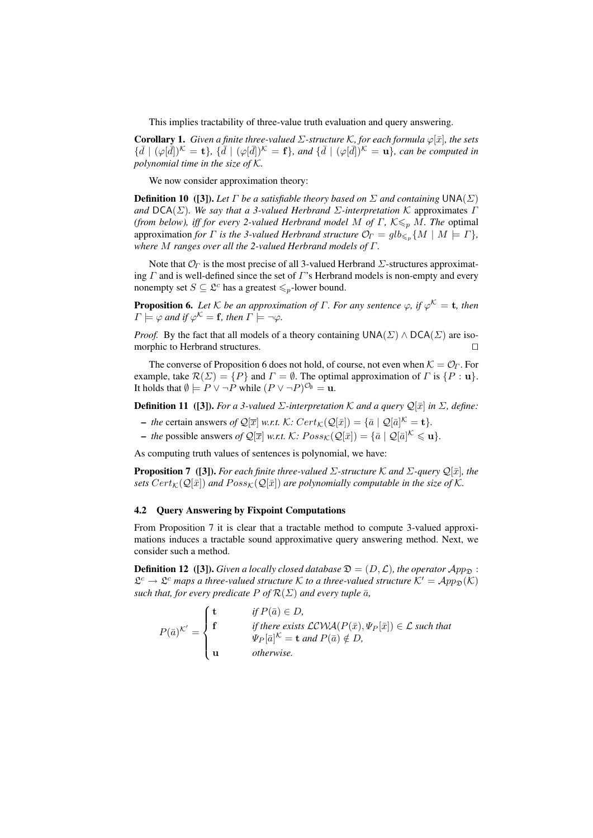This implies tractability of three-value truth evaluation and query answering.

Corollary 1. *Given a finite three-valued* Σ*-structure* K*, for each formula* ϕ[¯x]*, the sets*  $\{\bar{d} \mid (\varphi[\bar{d}])^{\mathcal{K}} = \mathbf{t}\}, \{\bar{d} \mid (\varphi[\bar{d}])^{\mathcal{K}} = \mathbf{f}\}, \text{ and } \{\bar{d} \mid (\varphi[\bar{d}])^{\mathcal{K}} = \mathbf{u}\}, \text{ can be computed in}$ *polynomial time in the size of* K*.*

We now consider approximation theory:

**Definition 10** ([3]). Let  $\Gamma$  be a satisfiable theory based on  $\Sigma$  and containing  $\text{UNA}(\Sigma)$ *and* DCA(Σ)*. We say that a 3-valued Herbrand* Σ*-interpretation* K approximates Γ *(from below), iff for every 2-valued Herbrand model M of Γ, K* $\leq_{p}$  *M. The optimal* approximation *for*  $\Gamma$  *is the 3-valued Herbrand structure*  $\mathcal{O}_{\Gamma} = glb_{\leqslant p}\{M \mid M \models \Gamma\}$ , *where* M *ranges over all the 2-valued Herbrand models of* Γ*.*

Note that  $\mathcal{O}_\Gamma$  is the most precise of all 3-valued Herbrand  $\Sigma$ -structures approximating  $\Gamma$  and is well-defined since the set of  $\Gamma$ 's Herbrand models is non-empty and every nonempty set  $S \subseteq \mathcal{L}^c$  has a greatest  $\leq_p$ -lower bound.

**Proposition 6.** Let  $K$  be an approximation of  $\Gamma$ . For any sentence  $\varphi$ , if  $\varphi^{K} = \mathbf{t}$ , then  $\Gamma \models \varphi$  and if  $\varphi^{\mathcal K} = \mathbf f$ , then  $\Gamma \models \neg \varphi$ .

*Proof.* By the fact that all models of a theory containing  $UNA(\Sigma) \wedge DCA(\Sigma)$  are isomorphic to Herbrand structures.  $\Box$ 

The converse of Proposition 6 does not hold, of course, not even when  $K = \mathcal{O}_\Gamma$ . For example, take  $\mathcal{R}(\Sigma) = \{P\}$  and  $\Gamma = \emptyset$ . The optimal approximation of  $\Gamma$  is  $\{P : \mathbf{u}\}.$ It holds that  $\emptyset \models P \lor \neg P$  while  $(P \lor \neg P)^{\mathcal{O}_{\emptyset}} = \mathbf{u}.$ 

**Definition 11** ([3]). *For a 3-valued*  $\Sigma$ -interpretation  $K$  *and a query*  $\mathcal{Q}[\bar{x}]$  *in*  $\Sigma$ *, define:* 

- *the* certain answers *of*  $\mathcal{Q}[\overline{x}]$  *w.r.t.* K:  $Cert_{\mathcal{K}}(\mathcal{Q}[\overline{x}]) = {\overline{a} \mid \mathcal{Q}[\overline{a}]^{\mathcal{K}}} = \mathbf{t}}.$
- *the* possible answers *of*  $\mathcal{Q}[\overline{x}]$  *w.r.t.* K:  $Poss_{\mathcal{K}}(\mathcal{Q}[\overline{x}]) = {\overline{a} \mid \mathcal{Q}[\overline{a}]^{\mathcal{K}}} \leq \mathbf{u}}.$

As computing truth values of sentences is polynomial, we have:

**Proposition 7** ([3]). *For each finite three-valued*  $\Sigma$ -structure  $K$  *and*  $\Sigma$ -query  $\mathcal{Q}[\bar{x}]$ *, the sets*  $Cert_{\mathcal{K}}(\mathcal{Q}[\bar{x}])$  *and*  $Poss_{\mathcal{K}}(\mathcal{Q}[\bar{x}])$  *are polynomially computable in the size of*  $\mathcal{K}$ *.* 

#### 4.2 Query Answering by Fixpoint Computations

From Proposition 7 it is clear that a tractable method to compute 3-valued approximations induces a tractable sound approximative query answering method. Next, we consider such a method.

**Definition 12** ([3]). *Given a locally closed database*  $\mathfrak{D} = (D, \mathcal{L})$ *, the operator*  $App_{\mathfrak{D}}$ :  $\mathfrak{L}^c \to \mathfrak{L}^c$  maps a three-valued structure K to a three-valued structure  $\mathcal{K}' = \mathcal{A}pp_{\mathfrak{D}}(\mathcal{K})$ *such that, for every predicate*  $P$  *of*  $\mathcal{R}(\Sigma)$  *and every tuple*  $\bar{a}$ *,* 

$$
P(\bar{a})^{\mathcal{K}'} = \begin{cases} \mathbf{t} & \text{if } P(\bar{a}) \in D, \\ \mathbf{f} & \text{if there exists } \mathcal{LCWA}(P(\bar{x}), \Psi_P[\bar{x}]) \in \mathcal{L} \text{ such that} \\ \Psi_P[\bar{a}]^{\mathcal{K}} = \mathbf{t} \text{ and } P(\bar{a}) \notin D, \\ \mathbf{u} & \text{otherwise.} \end{cases}
$$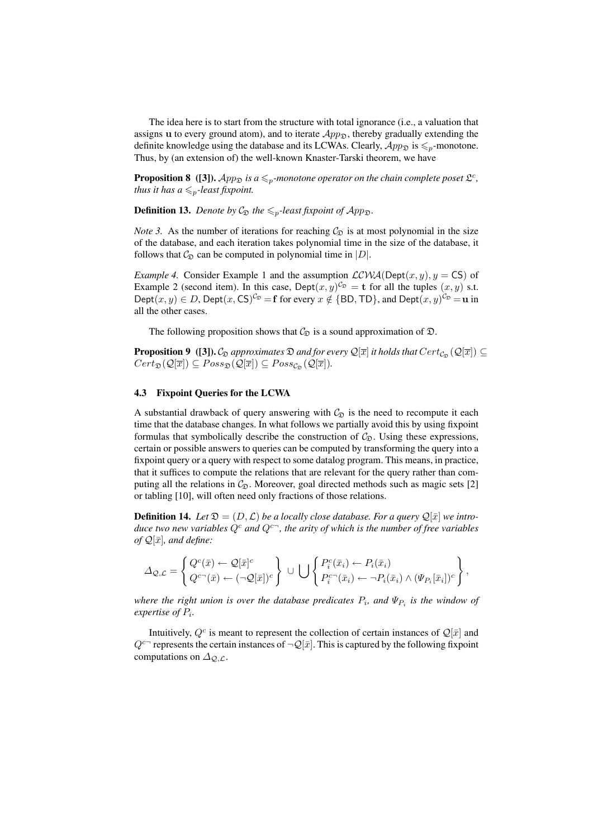The idea here is to start from the structure with total ignorance (i.e., a valuation that assigns u to every ground atom), and to iterate  $App_{\mathcal{D}}$ , thereby gradually extending the definite knowledge using the database and its LCWAs. Clearly,  $App_{\mathfrak{D}}$  is  $\leq_p$ -monotone. Thus, by (an extension of) the well-known Knaster-Tarski theorem, we have

**Proposition 8** ([3]).  $App_{\mathfrak{D}}$  is a  $\leq_p$ -monotone operator on the chain complete poset  $\mathfrak{L}^c$ , *thus it has a*  $\leq_p$ *-least fixpoint.* 

**Definition 13.** *Denote by*  $C_{\mathcal{D}}$  *the*  $\leq_p$ *-least fixpoint of App*<sub> $\mathcal{D}$ </sub>.

*Note 3.* As the number of iterations for reaching  $C_{\mathfrak{D}}$  is at most polynomial in the size of the database, and each iteration takes polynomial time in the size of the database, it follows that  $C_{\mathcal{D}}$  can be computed in polynomial time in  $|D|$ .

*Example 4.* Consider Example 1 and the assumption  $LCWA(Dept(x, y), y = CS)$  of Example 2 (second item). In this case, Dept $(x, y)^{C_{\mathfrak{D}}} = \mathbf{t}$  for all the tuples  $(x, y)$  s.t. Dept $(x, y) \in D$ , Dept $(x, CS)^{C_{\mathfrak{D}}} = \mathbf{f}$  for every  $x \notin \{BD, TD\}$ , and Dept $(x, y)^{C_{\mathfrak{D}}} = \mathbf{u}$  in all the other cases.

The following proposition shows that  $\mathcal{C}_{\mathfrak{D}}$  is a sound approximation of  $\mathfrak{D}$ .

**Proposition 9** ([3]).  $\mathcal{C}_{\mathfrak{D}}$  approximates  $\mathfrak{D}$  and for every  $\mathcal{Q}[\overline{x}]$  it holds that  $Cert_{\mathcal{C}_{\mathfrak{D}}}(\mathcal{Q}[\overline{x}]) \subseteq$  $Cert_{\mathfrak{D}}(\mathcal{Q}[\overline{x}]) \subseteq Poss_{\mathfrak{D}}(\mathcal{Q}[\overline{x}]) \subseteq Poss_{\mathcal{C}_{\mathfrak{D}}}(\mathcal{Q}[\overline{x}]).$ 

#### 4.3 Fixpoint Queries for the LCWA

A substantial drawback of query answering with  $\mathcal{C}_{\mathfrak{D}}$  is the need to recompute it each time that the database changes. In what follows we partially avoid this by using fixpoint formulas that symbolically describe the construction of  $C_{\mathfrak{D}}$ . Using these expressions, certain or possible answers to queries can be computed by transforming the query into a fixpoint query or a query with respect to some datalog program. This means, in practice, that it suffices to compute the relations that are relevant for the query rather than computing all the relations in  $C_{\mathfrak{D}}$ . Moreover, goal directed methods such as magic sets [2] or tabling [10], will often need only fractions of those relations.

**Definition 14.** Let  $\mathfrak{D} = (D, \mathcal{L})$  be a locally close database. For a query  $\mathcal{Q}[\bar{x}]$  we intro*duce two new variables*  $Q^c$  *and*  $Q^{c-}$ *, the arity of which is the number of free variables of*  $Q[\bar{x}]$ *, and define:* 

$$
\Delta_{\mathcal{Q},\mathcal{L}} = \left\{ \begin{matrix} Q^c(\bar{x}) \leftarrow \mathcal{Q}[\bar{x}]^c \\ Q^{c\frown}(\bar{x}) \leftarrow (\neg \mathcal{Q}[\bar{x}])^c \end{matrix} \right\} \cup \bigcup \left\{ \begin{matrix} P_i^c(\bar{x}_i) \leftarrow P_i(\bar{x}_i) \\ P_i^{c\frown}(\bar{x}_i) \leftarrow \neg P_i(\bar{x}_i) \wedge (\Psi_{P_i}[\bar{x}_i])^c \end{matrix} \right\},\right\}
$$

where the right union is over the database predicates  $P_i$ , and  $\Psi_{P_i}$  is the window of *expertise of* P<sup>i</sup> *.*

Intuitively,  $Q^c$  is meant to represent the collection of certain instances of  $\mathcal{Q}[\bar{x}]$  and  $Q^{c-}$  represents the certain instances of  $\neg Q[\bar{x}]$ . This is captured by the following fixpoint computations on  $\Delta_{Q,\mathcal{L}}$ .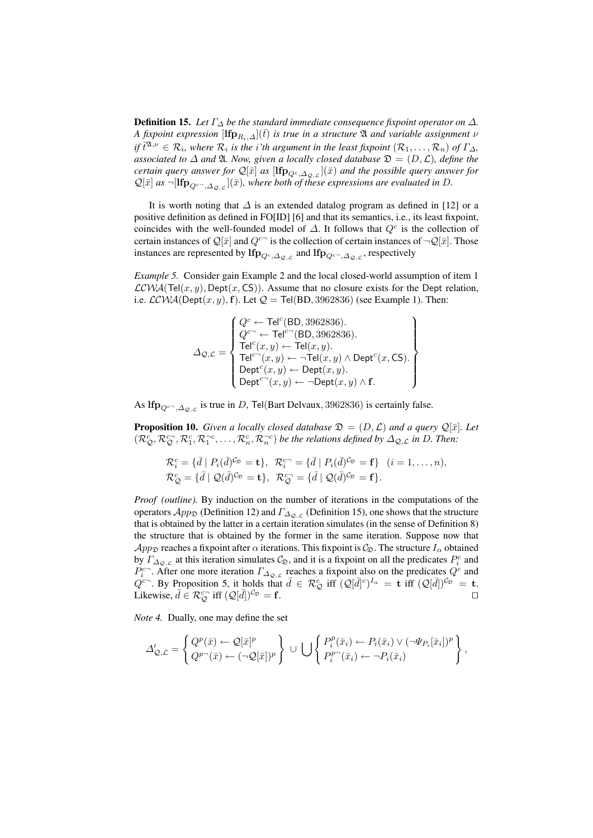**Definition 15.** Let  $\Gamma_{\Delta}$  be the standard immediate consequence fixpoint operator on  $\Delta$ . *A fixpoint expression*  $[\mathbf{lip}_{R_i,\Delta}](t)$  *is true in a structure*  $\mathfrak A$  *and variable assignment*  $\nu$ *if*  $\bar{t}^{2\lambda,\nu} \in \mathcal{R}_i$ , where  $\mathcal{R}_i$  is the i'th argument in the least fixpoint  $(\mathcal{R}_1,\ldots,\mathcal{R}_n)$  of  $\Gamma_{\Delta}$ , *associated to*  $\Delta$  *and*  $\mathfrak{A}$ *. Now, given a locally closed database*  $\mathfrak{D} = (D, \mathcal{L})$ *, define the*  $c$ ertain query answer for  $\mathcal{Q}[\bar{x}]$  as  $[\mathbf{Ifp}_{Q^c,\Delta_{\mathcal{Q}},\mathcal{L}}](\bar{x})$  and the possible query answer for  $\mathcal{Q}[\bar{x}]$  as  $\neg[\text{Ifp}_{Q^{c-},\Delta_{\mathcal{Q},\mathcal{L}}}](\bar{x})$ , where both of these expressions are evaluated in D.

It is worth noting that  $\Delta$  is an extended datalog program as defined in [12] or a positive definition as defined in FO[ID] [6] and that its semantics, i.e., its least fixpoint, coincides with the well-founded model of  $\Delta$ . It follows that  $Q^c$  is the collection of certain instances of  $\mathcal{Q}[\bar{x}]$  and  $Q^{c-}$  is the collection of certain instances of  $\neg \mathcal{Q}[\bar{x}]$ . Those instances are represented by  $\text{If}_{\text{p}_{Q^c,\Delta_{\mathcal{Q},\mathcal{L}}}}$  and  $\text{If}_{\text{p}_{Q^{c_{\neg}},\Delta_{\mathcal{Q},\mathcal{L}}}}$ , respectively

*Example 5.* Consider gain Example 2 and the local closed-world assumption of item 1  $LCWA(Tel(x, y), Dept(x, CS))$ . Assume that no closure exists for the Dept relation, i.e.  $LCWA(Dept(x, y), f)$ . Let  $Q = Tel(BD, 3962836)$  (see Example 1). Then:

$$
\varDelta_{\mathcal{Q},\mathcal{L}} = \left\{ \begin{matrix} Q^c \leftarrow \text{Tel}^c(\text{BD},3962836). \\ Q^{c\neg} \leftarrow \text{Tel}^{c\cap}(\text{BD},3962836). \\ \text{Tel}^c(x,y) \leftarrow \text{Tel}(x,y). \\ \text{Tel}^{c\neg}(x,y) \leftarrow \neg \text{Tel}(x,y) \wedge \text{Depth}^c(x,\text{CS}). \\ \text{Depth}^c(x,y) \leftarrow \text{Depth}(x,y). \\ \text{Depth}^{c\neg}(x,y) \leftarrow \neg \text{Depth}(x,y) \wedge \text{f}. \end{matrix} \right. \right\}
$$

As lf $\mathbf{p}_{Q^{c-},\Delta_{\mathcal{Q},\mathcal{L}}}$  is true in D, Tel(Bart Delvaux, 3962836) is certainly false.

**Proposition 10.** *Given a locally closed database*  $\mathfrak{D} = (D, \mathcal{L})$  *and a query*  $\mathcal{Q}[\bar{x}]$ *. Let*  $(\mathcal{R}_{\mathcal{Q}}^c, \mathcal{R}_{\mathcal{Q}}^{c\gamma}, \mathcal{R}_1^c, \mathcal{R}_1^{-c}, \ldots, \mathcal{R}_n^c, \mathcal{R}_n^{-c})$  *be the relations defined by*  $\Delta_{\mathcal{Q},\mathcal{L}}$  *in D. Then:* 

$$
\mathcal{R}_{i}^{c} = \{\bar{d} \mid P_{i}(\bar{d})^{C_{\mathfrak{D}}} = \mathbf{t}\}, \ \mathcal{R}_{i}^{c} = \{\bar{d} \mid P_{i}(\bar{d})^{C_{\mathfrak{D}}} = \mathbf{f}\} \ \ (i = 1, \ldots, n),
$$
  

$$
\mathcal{R}_{\mathcal{Q}}^{c} = \{\bar{d} \mid \mathcal{Q}(\bar{d})^{C_{\mathfrak{D}}} = \mathbf{t}\}, \ \mathcal{R}_{\mathcal{Q}}^{c} = \{\bar{d} \mid \mathcal{Q}(\bar{d})^{C_{\mathfrak{D}}} = \mathbf{f}\}.
$$

*Proof (outline).* By induction on the number of iterations in the computations of the operators  $\mathcal{A}pp_{\mathfrak{D}}$  (Definition 12) and  $\Gamma_{\Delta_{\mathcal{Q},\mathcal{L}}}$  (Definition 15), one shows that the structure that is obtained by the latter in a certain iteration simulates (in the sense of Definition 8) the structure that is obtained by the former in the same iteration. Suppose now that  $App_{\mathfrak{D}}$  reaches a fixpoint after  $\alpha$  iterations. This fixpoint is  $\mathcal{C}_{\mathfrak{D}}$ . The structure  $I_{\alpha}$  obtained by  $\Gamma_{\Delta_{\mathcal{Q},\mathcal{L}}}$  at this iteration simulates  $\mathcal{C}_{\mathcal{D}}$ , and it is a fixpoint on all the predicates  $P_i^c$  and  $P_i^{c-}$ . After one more iteration  $\Gamma_{\Delta_{Q,\mathcal{L}}}$  reaches a fixpoint also on the predicates  $Q^c$  and  $Q^{c-}$ . By Proposition 5, it holds that  $\bar{d} \in \mathcal{R}_{\mathcal{Q}}^c$  iff  $(\mathcal{Q}[\bar{d}]^{c})^{I_{\alpha}} = \mathbf{t}$  iff  $(\mathcal{Q}[\bar{d}])^{c_{\mathcal{D}}} = \mathbf{t}$ . Likewise,  $\bar{d} \in \mathcal{R}_{\mathcal{Q}}^{c-}$  iff  $(\mathcal{Q})$  $\overline{d}$ )<sup>C<sub>D</sub></sup> = **f**.

*Note 4.* Dually, one may define the set

$$
\Delta'_{\mathcal{Q},\mathcal{L}} = \left\{ \begin{matrix} Q^p(\bar{x}) \leftarrow \mathcal{Q}[\bar{x}]^p \\ Q^{p\!-\!}(\bar{x}) \leftarrow (\neg \mathcal{Q}[\bar{x}])^p \end{matrix} \right\} \cup \bigcup \left\{ \begin{matrix} P_i^p(\bar{x}_i) \leftarrow P_i(\bar{x}_i) \vee (\neg \Psi_{P_i}[\bar{x}_i])^p \\ P_i^{p\!-\!}(\bar{x}_i) \leftarrow \neg P_i(\bar{x}_i) \end{matrix} \right\},\right\}
$$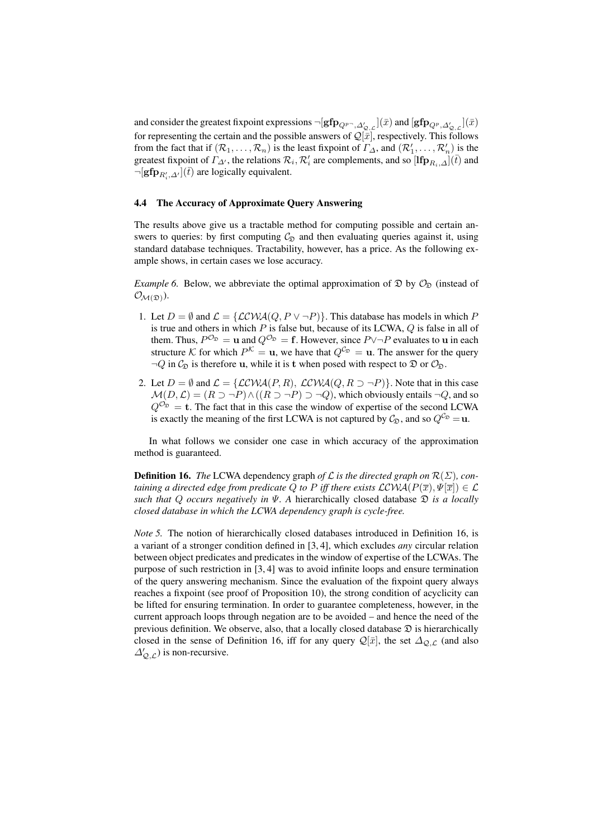and consider the greatest fixpoint expressions  $\neg[\mathbf{gfp}_{Q^p\neg,\Delta'_{\mathcal{Q},\mathcal{L}}]}(\bar{x})$  and  $[\mathbf{gfp}_{Q^p,\Delta'_{\mathcal{Q},\mathcal{L}}]}(\bar{x})$ for representing the certain and the possible answers of  $\mathcal{Q}[\bar{x}]$ , respectively. This follows from the fact that if  $(R_1, \ldots, R_n)$  is the least fixpoint of  $\Gamma_{\Delta}$ , and  $(R'_1, \ldots, R'_n)$  is the greatest fixpoint of  $\Gamma_{\Delta}$ , the relations  $\mathcal{R}_i$ ,  $\mathcal{R}'_i$  are complements, and so  $[\mathbf{Ifp}_{R_i,\Delta}](\bar{t})$  and  $\neg[\mathbf{gfp}_{R'_i,\Delta'}](\bar{t})$  are logically equivalent.

#### 4.4 The Accuracy of Approximate Query Answering

The results above give us a tractable method for computing possible and certain answers to queries: by first computing  $C_{\mathfrak{D}}$  and then evaluating queries against it, using standard database techniques. Tractability, however, has a price. As the following example shows, in certain cases we lose accuracy.

*Example 6.* Below, we abbreviate the optimal approximation of  $\mathfrak{D}$  by  $\mathcal{O}_{\mathfrak{D}}$  (instead of  $\mathcal{O}_{\mathcal{M}(\mathfrak{D})}$ ).

- 1. Let  $D = \emptyset$  and  $\mathcal{L} = \{ \mathcal{LCWA}(Q, P \lor \neg P) \}.$  This database has models in which P is true and others in which  $P$  is false but, because of its LCWA,  $Q$  is false in all of them. Thus,  $P^{\mathcal{O}_{\mathfrak{D}}} = \mathbf{u}$  and  $Q^{\mathcal{O}_{\mathfrak{D}}} = \mathbf{f}$ . However, since  $P \vee \neg P$  evaluates to  $\mathbf{u}$  in each structure K for which  $P^{K} = \mathbf{u}$ , we have that  $Q^{\mathcal{C}_{\mathfrak{D}}} = \mathbf{u}$ . The answer for the query  $\neg Q$  in  $C_{\mathfrak{D}}$  is therefore u, while it is t when posed with respect to  $\mathfrak{D}$  or  $\mathcal{O}_{\mathfrak{D}}$ .
- 2. Let  $D = \emptyset$  and  $\mathcal{L} = \{ \mathcal{LCWA}(P, R), \mathcal{LCWA}(Q, R \supset \neg P) \}.$  Note that in this case  $\mathcal{M}(D,\mathcal{L}) = (R \supset \neg P) \wedge ((R \supset \neg P) \supset \neg Q)$ , which obviously entails  $\neg Q$ , and so  $Q^{\mathcal{O}_{\mathfrak{D}}} = \mathbf{t}$ . The fact that in this case the window of expertise of the second LCWA is exactly the meaning of the first LCWA is not captured by  $C_{\mathfrak{D}}$ , and so  $Q^{C_{\mathfrak{D}}} = \mathbf{u}$ .

In what follows we consider one case in which accuracy of the approximation method is guaranteed.

**Definition 16.** *The* LCWA dependency graph *of*  $\mathcal L$  *is the directed graph on*  $\mathcal R(\Sigma)$ *, containing a directed edge from predicate* Q *to* P *iff there exists*  $\mathcal{LCWA}(P(\overline{x}), \Psi[\overline{x}]) \in \mathcal{L}$ *such that* Q *occurs negatively in*  $\Psi$ . A hierarchically closed database  $\mathfrak{D}$  *is a locally closed database in which the LCWA dependency graph is cycle-free.*

*Note 5.* The notion of hierarchically closed databases introduced in Definition 16, is a variant of a stronger condition defined in [3, 4], which excludes *any* circular relation between object predicates and predicates in the window of expertise of the LCWAs. The purpose of such restriction in [3, 4] was to avoid infinite loops and ensure termination of the query answering mechanism. Since the evaluation of the fixpoint query always reaches a fixpoint (see proof of Proposition 10), the strong condition of acyclicity can be lifted for ensuring termination. In order to guarantee completeness, however, in the current approach loops through negation are to be avoided – and hence the need of the previous definition. We observe, also, that a locally closed database  $\mathfrak D$  is hierarchically closed in the sense of Definition 16, iff for any query  $\mathcal{Q}[\bar{x}]$ , the set  $\Delta_{Q,\mathcal{L}}$  (and also  $\Delta'_{\mathcal{Q},\mathcal{L}}$ ) is non-recursive.